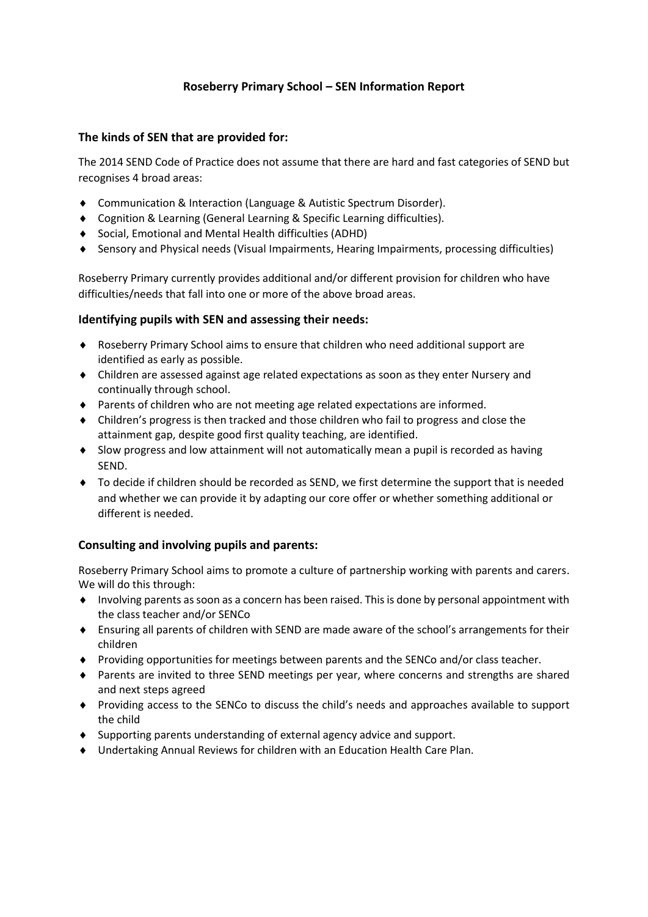# **Roseberry Primary School – SEN Information Report**

### **The kinds of SEN that are provided for:**

The 2014 SEND Code of Practice does not assume that there are hard and fast categories of SEND but recognises 4 broad areas:

- ◆ Communication & Interaction (Language & Autistic Spectrum Disorder).
- Cognition & Learning (General Learning & Specific Learning difficulties).
- Social, Emotional and Mental Health difficulties (ADHD)
- Sensory and Physical needs (Visual Impairments, Hearing Impairments, processing difficulties)

Roseberry Primary currently provides additional and/or different provision for children who have difficulties/needs that fall into one or more of the above broad areas.

#### **Identifying pupils with SEN and assessing their needs:**

- Roseberry Primary School aims to ensure that children who need additional support are identified as early as possible.
- Children are assessed against age related expectations as soon as they enter Nursery and continually through school.
- Parents of children who are not meeting age related expectations are informed.
- Children's progress is then tracked and those children who fail to progress and close the attainment gap, despite good first quality teaching, are identified.
- Slow progress and low attainment will not automatically mean a pupil is recorded as having SEND.
- To decide if children should be recorded as SEND, we first determine the support that is needed and whether we can provide it by adapting our core offer or whether something additional or different is needed.

# **Consulting and involving pupils and parents:**

Roseberry Primary School aims to promote a culture of partnership working with parents and carers. We will do this through:

- Involving parents as soon as a concern has been raised. This is done by personal appointment with the class teacher and/or SENCo
- Ensuring all parents of children with SEND are made aware of the school's arrangements for their children
- Providing opportunities for meetings between parents and the SENCo and/or class teacher.
- Parents are invited to three SEND meetings per year, where concerns and strengths are shared and next steps agreed
- Providing access to the SENCo to discuss the child's needs and approaches available to support the child
- Supporting parents understanding of external agency advice and support.
- Undertaking Annual Reviews for children with an Education Health Care Plan.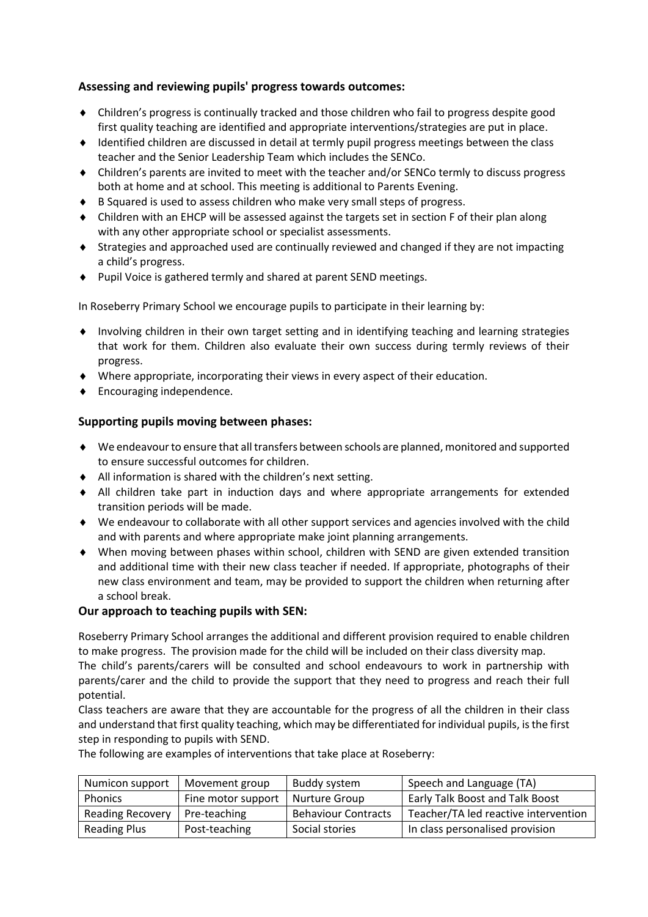# **Assessing and reviewing pupils' progress towards outcomes:**

- Children's progress is continually tracked and those children who fail to progress despite good first quality teaching are identified and appropriate interventions/strategies are put in place.
- Identified children are discussed in detail at termly pupil progress meetings between the class teacher and the Senior Leadership Team which includes the SENCo.
- Children's parents are invited to meet with the teacher and/or SENCo termly to discuss progress both at home and at school. This meeting is additional to Parents Evening.
- ◆ B Squared is used to assess children who make very small steps of progress.
- Children with an EHCP will be assessed against the targets set in section F of their plan along with any other appropriate school or specialist assessments.
- Strategies and approached used are continually reviewed and changed if they are not impacting a child's progress.
- ◆ Pupil Voice is gathered termly and shared at parent SEND meetings.

In Roseberry Primary School we encourage pupils to participate in their learning by:

- Involving children in their own target setting and in identifying teaching and learning strategies that work for them. Children also evaluate their own success during termly reviews of their progress.
- Where appropriate, incorporating their views in every aspect of their education.
- **Encouraging independence.**

# **Supporting pupils moving between phases:**

- We endeavour to ensure that all transfers between schools are planned, monitored and supported to ensure successful outcomes for children.
- All information is shared with the children's next setting.
- All children take part in induction days and where appropriate arrangements for extended transition periods will be made.
- We endeavour to collaborate with all other support services and agencies involved with the child and with parents and where appropriate make joint planning arrangements.
- When moving between phases within school, children with SEND are given extended transition and additional time with their new class teacher if needed. If appropriate, photographs of their new class environment and team, may be provided to support the children when returning after a school break.

# **Our approach to teaching pupils with SEN:**

Roseberry Primary School arranges the additional and different provision required to enable children to make progress. The provision made for the child will be included on their class diversity map.

The child's parents/carers will be consulted and school endeavours to work in partnership with parents/carer and the child to provide the support that they need to progress and reach their full potential.

Class teachers are aware that they are accountable for the progress of all the children in their class and understand that first quality teaching, which may be differentiated for individual pupils, is the first step in responding to pupils with SEND.

The following are examples of interventions that take place at Roseberry:

| Numicon support         | Movement group     | Buddy system               | Speech and Language (TA)               |
|-------------------------|--------------------|----------------------------|----------------------------------------|
| <b>Phonics</b>          | Fine motor support | Nurture Group              | <b>Early Talk Boost and Talk Boost</b> |
| <b>Reading Recovery</b> | Pre-teaching       | <b>Behaviour Contracts</b> | Teacher/TA led reactive intervention   |
| <b>Reading Plus</b>     | Post-teaching      | Social stories             | In class personalised provision        |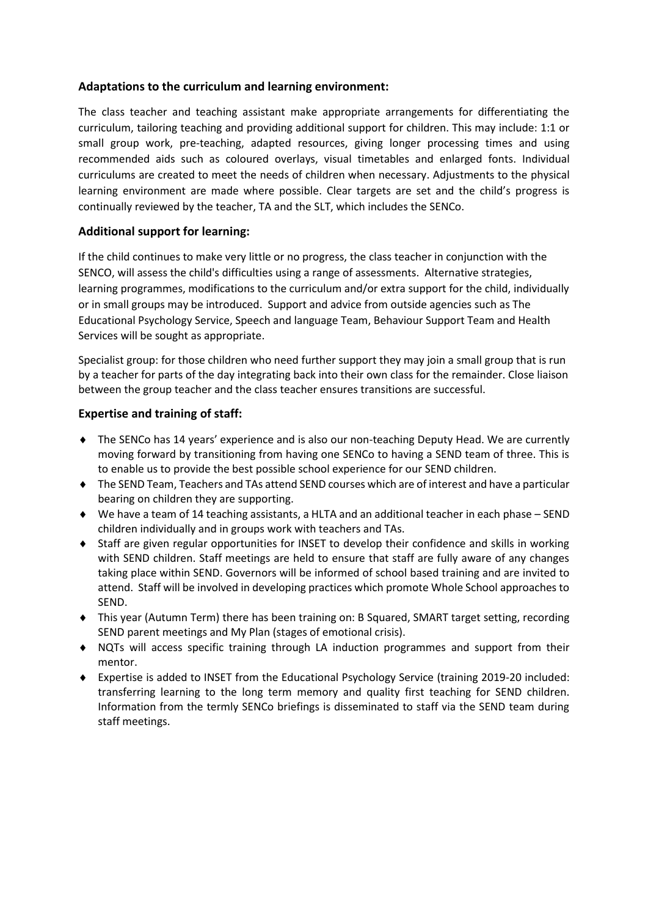# **Adaptations to the curriculum and learning environment:**

The class teacher and teaching assistant make appropriate arrangements for differentiating the curriculum, tailoring teaching and providing additional support for children. This may include: 1:1 or small group work, pre-teaching, adapted resources, giving longer processing times and using recommended aids such as coloured overlays, visual timetables and enlarged fonts. Individual curriculums are created to meet the needs of children when necessary. Adjustments to the physical learning environment are made where possible. Clear targets are set and the child's progress is continually reviewed by the teacher, TA and the SLT, which includes the SENCo.

# **Additional support for learning:**

If the child continues to make very little or no progress, the class teacher in conjunction with the SENCO, will assess the child's difficulties using a range of assessments. Alternative strategies, learning programmes, modifications to the curriculum and/or extra support for the child, individually or in small groups may be introduced. Support and advice from outside agencies such as The Educational Psychology Service, Speech and language Team, Behaviour Support Team and Health Services will be sought as appropriate.

Specialist group: for those children who need further support they may join a small group that is run by a teacher for parts of the day integrating back into their own class for the remainder. Close liaison between the group teacher and the class teacher ensures transitions are successful.

# **Expertise and training of staff:**

- The SENCo has 14 years' experience and is also our non-teaching Deputy Head. We are currently moving forward by transitioning from having one SENCo to having a SEND team of three. This is to enable us to provide the best possible school experience for our SEND children.
- The SEND Team, Teachers and TAs attend SEND courses which are of interest and have a particular bearing on children they are supporting.
- We have a team of 14 teaching assistants, a HLTA and an additional teacher in each phase SEND children individually and in groups work with teachers and TAs.
- Staff are given regular opportunities for INSET to develop their confidence and skills in working with SEND children. Staff meetings are held to ensure that staff are fully aware of any changes taking place within SEND. Governors will be informed of school based training and are invited to attend. Staff will be involved in developing practices which promote Whole School approaches to SEND.
- This year (Autumn Term) there has been training on: B Squared, SMART target setting, recording SEND parent meetings and My Plan (stages of emotional crisis).
- NQTs will access specific training through LA induction programmes and support from their mentor.
- Expertise is added to INSET from the Educational Psychology Service (training 2019-20 included: transferring learning to the long term memory and quality first teaching for SEND children. Information from the termly SENCo briefings is disseminated to staff via the SEND team during staff meetings.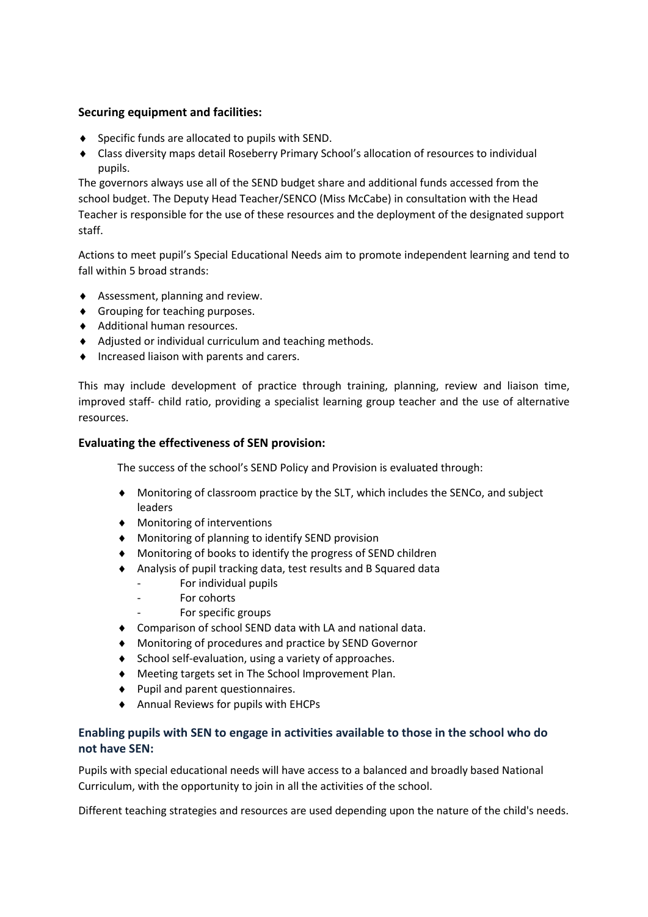# **Securing equipment and facilities:**

- Specific funds are allocated to pupils with SEND.
- Class diversity maps detail Roseberry Primary School's allocation of resources to individual pupils.

The governors always use all of the SEND budget share and additional funds accessed from the school budget. The Deputy Head Teacher/SENCO (Miss McCabe) in consultation with the Head Teacher is responsible for the use of these resources and the deployment of the designated support staff.

Actions to meet pupil's Special Educational Needs aim to promote independent learning and tend to fall within 5 broad strands:

- ◆ Assessment, planning and review.
- Grouping for teaching purposes.
- Additional human resources.
- Adjusted or individual curriculum and teaching methods.
- $\bullet$  Increased liaison with parents and carers.

This may include development of practice through training, planning, review and liaison time, improved staff- child ratio, providing a specialist learning group teacher and the use of alternative resources.

#### **Evaluating the effectiveness of SEN provision:**

The success of the school's SEND Policy and Provision is evaluated through:

- Monitoring of classroom practice by the SLT, which includes the SENCo, and subject leaders
- Monitoring of interventions
- Monitoring of planning to identify SEND provision
- Monitoring of books to identify the progress of SEND children
- Analysis of pupil tracking data, test results and B Squared data
	- For individual pupils
	- For cohorts
	- For specific groups
- Comparison of school SEND data with LA and national data.
- Monitoring of procedures and practice by SEND Governor
- ◆ School self-evaluation, using a variety of approaches.
- Meeting targets set in The School Improvement Plan.
- $\blacklozenge$  Pupil and parent questionnaires.
- Annual Reviews for pupils with EHCPs

# **Enabling pupils with SEN to engage in activities available to those in the school who do not have SEN:**

Pupils with special educational needs will have access to a balanced and broadly based National Curriculum, with the opportunity to join in all the activities of the school.

Different teaching strategies and resources are used depending upon the nature of the child's needs.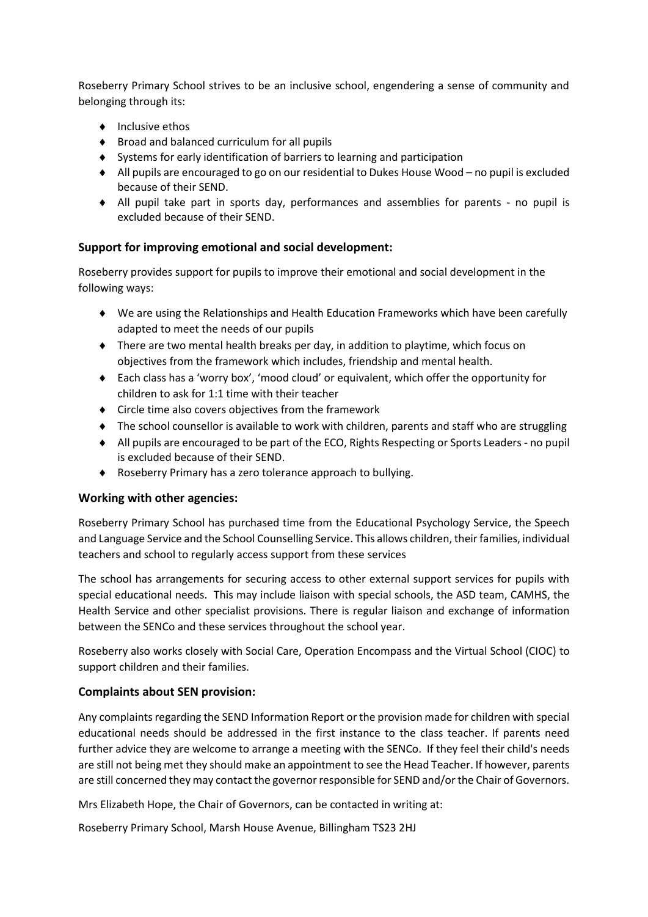Roseberry Primary School strives to be an inclusive school, engendering a sense of community and belonging through its:

- $\bullet$  Inclusive ethos
- ◆ Broad and balanced curriculum for all pupils
- Systems for early identification of barriers to learning and participation
- All pupils are encouraged to go on our residential to Dukes House Wood no pupil is excluded because of their SEND.
- All pupil take part in sports day, performances and assemblies for parents no pupil is excluded because of their SEND.

# **Support for improving emotional and social development:**

Roseberry provides support for pupils to improve their emotional and social development in the following ways:

- We are using the Relationships and Health Education Frameworks which have been carefully adapted to meet the needs of our pupils
- There are two mental health breaks per day, in addition to playtime, which focus on objectives from the framework which includes, friendship and mental health.
- Each class has a 'worry box', 'mood cloud' or equivalent, which offer the opportunity for children to ask for 1:1 time with their teacher
- Circle time also covers objectives from the framework
- The school counsellor is available to work with children, parents and staff who are struggling
- All pupils are encouraged to be part of the ECO, Rights Respecting or Sports Leaders no pupil is excluded because of their SEND.
- Roseberry Primary has a zero tolerance approach to bullying.

# **Working with other agencies:**

Roseberry Primary School has purchased time from the Educational Psychology Service, the Speech and Language Service and the School Counselling Service. This allows children, their families, individual teachers and school to regularly access support from these services

The school has arrangements for securing access to other external support services for pupils with special educational needs. This may include liaison with special schools, the ASD team, CAMHS, the Health Service and other specialist provisions. There is regular liaison and exchange of information between the SENCo and these services throughout the school year.

Roseberry also works closely with Social Care, Operation Encompass and the Virtual School (CIOC) to support children and their families.

# **Complaints about SEN provision:**

Any complaints regarding the SEND Information Report or the provision made for children with special educational needs should be addressed in the first instance to the class teacher. If parents need further advice they are welcome to arrange a meeting with the SENCo. If they feel their child's needs are still not being met they should make an appointment to see the Head Teacher. If however, parents are still concerned they may contact the governor responsible for SEND and/or the Chair of Governors.

Mrs Elizabeth Hope, the Chair of Governors, can be contacted in writing at:

Roseberry Primary School, Marsh House Avenue, Billingham TS23 2HJ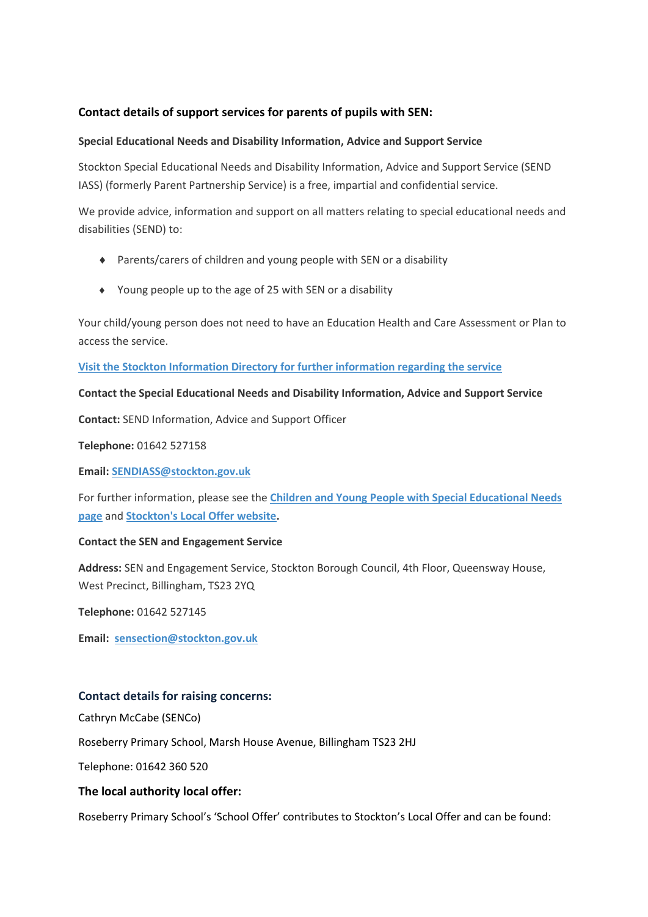# **Contact details of support services for parents of pupils with SEN:**

#### **Special Educational Needs and Disability Information, Advice and Support Service**

Stockton Special Educational Needs and Disability Information, Advice and Support Service (SEND IASS) (formerly Parent Partnership Service) is a free, impartial and confidential service.

We provide advice, information and support on all matters relating to special educational needs and disabilities (SEND) to:

- Parents/carers of children and young people with SEN or a disability
- Young people up to the age of 25 with SEN or a disability

Your child/young person does not need to have an Education Health and Care Assessment or Plan to access the service.

**[Visit the Stockton Information Directory for further information regarding the service](http://search3.openobjects.com/kb5/stockton/directory/service.page?id=yVe4piZWHug)**

#### **Contact the Special Educational Needs and Disability Information, Advice and Support Service**

**Contact:** SEND Information, Advice and Support Officer

**Telephone:** 01642 527158

**Email: [SENDIASS@stockton.gov.uk](mailto:parent.partnership@stockton.gov.uk)**

For further information, please see the **[Children and Young People with Special Educational Needs](https://www.stockton.gov.uk/our-people/children-with-special-educational-needs-sen/)  [page](https://www.stockton.gov.uk/our-people/children-with-special-educational-needs-sen/)** and **[Stockton's Local Offer website.](http://www.stockton.gov.uk/localoffer)**

# **Contact the SEN and Engagement Service**

**Address:** SEN and Engagement Service, Stockton Borough Council, 4th Floor, Queensway House, West Precinct, Billingham, TS23 2YQ

**Telephone:** 01642 527145

**Email: [sensection@stockton.gov.uk](mailto:sensection@stockton.gov.uk)**

# **Contact details for raising concerns:**

Cathryn McCabe (SENCo)

Roseberry Primary School, Marsh House Avenue, Billingham TS23 2HJ

Telephone: 01642 360 520

# **The local authority local offer:**

Roseberry Primary School's 'School Offer' contributes to Stockton's Local Offer and can be found: